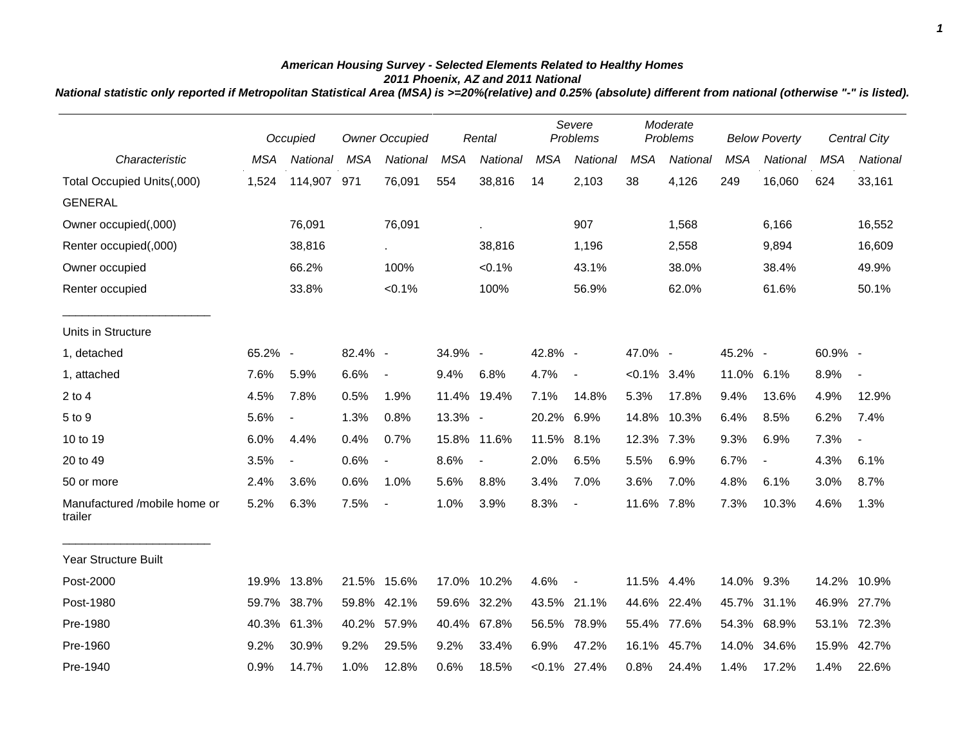## *American Housing Survey - Selected Elements Related to Healthy Homes 2011 Phoenix, AZ and 2011 National*

*National statistic only reported if Metropolitan Statistical Area (MSA) is >=20%(relative) and 0.25% (absolute) different from national (otherwise "-" is listed).*

|                                         |            | Occupied                 |            | <b>Owner Occupied</b>       |            | Rental         |            | Severe<br>Problems |                | Moderate<br>Problems |            | <b>Below Poverty</b> |            | <b>Central City</b>      |
|-----------------------------------------|------------|--------------------------|------------|-----------------------------|------------|----------------|------------|--------------------|----------------|----------------------|------------|----------------------|------------|--------------------------|
| Characteristic                          | <b>MSA</b> | National                 | <b>MSA</b> | National                    | <b>MSA</b> | National       | <b>MSA</b> | <b>National</b>    | <b>MSA</b>     | National             | <b>MSA</b> | National             | <b>MSA</b> | National                 |
| Total Occupied Units(,000)              | 1,524      | 114,907 971              |            | 76,091                      | 554        | 38,816         | 14         | 2,103              | 38             | 4,126                | 249        | 16,060               | 624        | 33,161                   |
| <b>GENERAL</b>                          |            |                          |            |                             |            |                |            |                    |                |                      |            |                      |            |                          |
| Owner occupied(,000)                    |            | 76,091                   |            | 76,091                      |            | à.             |            | 907                |                | 1,568                |            | 6,166                |            | 16,552                   |
| Renter occupied(,000)                   |            | 38,816                   |            | $\mathcal{L}_{\mathcal{A}}$ |            | 38,816         |            | 1,196              |                | 2,558                |            | 9,894                |            | 16,609                   |
| Owner occupied                          |            | 66.2%                    |            | 100%                        |            | $< 0.1\%$      |            | 43.1%              |                | 38.0%                |            | 38.4%                |            | 49.9%                    |
| Renter occupied                         |            | 33.8%                    |            | $< 0.1\%$                   |            | 100%           |            | 56.9%              |                | 62.0%                |            | 61.6%                |            | 50.1%                    |
| Units in Structure                      |            |                          |            |                             |            |                |            |                    |                |                      |            |                      |            |                          |
| 1, detached                             | 65.2% -    |                          | 82.4% -    |                             | 34.9% -    |                | 42.8% -    |                    | 47.0% -        |                      | 45.2% -    |                      | 60.9% -    |                          |
| 1, attached                             | 7.6%       | 5.9%                     | 6.6%       | $\overline{\phantom{a}}$    | 9.4%       | 6.8%           | 4.7%       | $\blacksquare$     | $< 0.1\%$ 3.4% |                      | 11.0% 6.1% |                      | 8.9%       | $\overline{\phantom{a}}$ |
| $2$ to $4$                              | 4.5%       | 7.8%                     | 0.5%       | 1.9%                        |            | 11.4% 19.4%    | 7.1%       | 14.8%              | 5.3%           | 17.8%                | 9.4%       | 13.6%                | 4.9%       | 12.9%                    |
| 5 to 9                                  | 5.6%       | $\overline{\phantom{a}}$ | 1.3%       | 0.8%                        | 13.3% -    |                | 20.2% 6.9% |                    | 14.8%          | 10.3%                | 6.4%       | 8.5%                 | 6.2%       | 7.4%                     |
| 10 to 19                                | 6.0%       | 4.4%                     | 0.4%       | 0.7%                        |            | 15.8% 11.6%    | 11.5% 8.1% |                    | 12.3% 7.3%     |                      | 9.3%       | 6.9%                 | 7.3%       | $\overline{\phantom{a}}$ |
| 20 to 49                                | 3.5%       | $\overline{\phantom{a}}$ | 0.6%       | $\blacksquare$              | 8.6%       | $\blacksquare$ | 2.0%       | 6.5%               | 5.5%           | 6.9%                 | 6.7%       | $\blacksquare$       | 4.3%       | 6.1%                     |
| 50 or more                              | 2.4%       | 3.6%                     | 0.6%       | 1.0%                        | 5.6%       | 8.8%           | 3.4%       | 7.0%               | 3.6%           | 7.0%                 | 4.8%       | 6.1%                 | 3.0%       | 8.7%                     |
| Manufactured /mobile home or<br>trailer | 5.2%       | 6.3%                     | 7.5%       | $\overline{\phantom{a}}$    | 1.0%       | 3.9%           | 8.3%       | $\blacksquare$     | 11.6%          | 7.8%                 | 7.3%       | 10.3%                | 4.6%       | 1.3%                     |
| <b>Year Structure Built</b>             |            |                          |            |                             |            |                |            |                    |                |                      |            |                      |            |                          |
| Post-2000                               | 19.9%      | 13.8%                    |            | 21.5% 15.6%                 |            | 17.0% 10.2%    | 4.6%       | $\sim$             | 11.5% 4.4%     |                      | 14.0% 9.3% |                      | 14.2%      | 10.9%                    |
| Post-1980                               | 59.7%      | 38.7%                    | 59.8%      | 42.1%                       | 59.6%      | 32.2%          | 43.5%      | 21.1%              | 44.6%          | 22.4%                | 45.7%      | 31.1%                | 46.9%      | 27.7%                    |
| Pre-1980                                | 40.3%      | 61.3%                    | 40.2%      | 57.9%                       | 40.4%      | 67.8%          | 56.5%      | 78.9%              | 55.4%          | 77.6%                | 54.3%      | 68.9%                | 53.1%      | 72.3%                    |
| Pre-1960                                | 9.2%       | 30.9%                    | 9.2%       | 29.5%                       | 9.2%       | 33.4%          | 6.9%       | 47.2%              | 16.1%          | 45.7%                | 14.0%      | 34.6%                | 15.9%      | 42.7%                    |
| Pre-1940                                | 0.9%       | 14.7%                    | 1.0%       | 12.8%                       | 0.6%       | 18.5%          |            | $< 0.1\%$ 27.4%    | 0.8%           | 24.4%                | 1.4%       | 17.2%                | 1.4%       | 22.6%                    |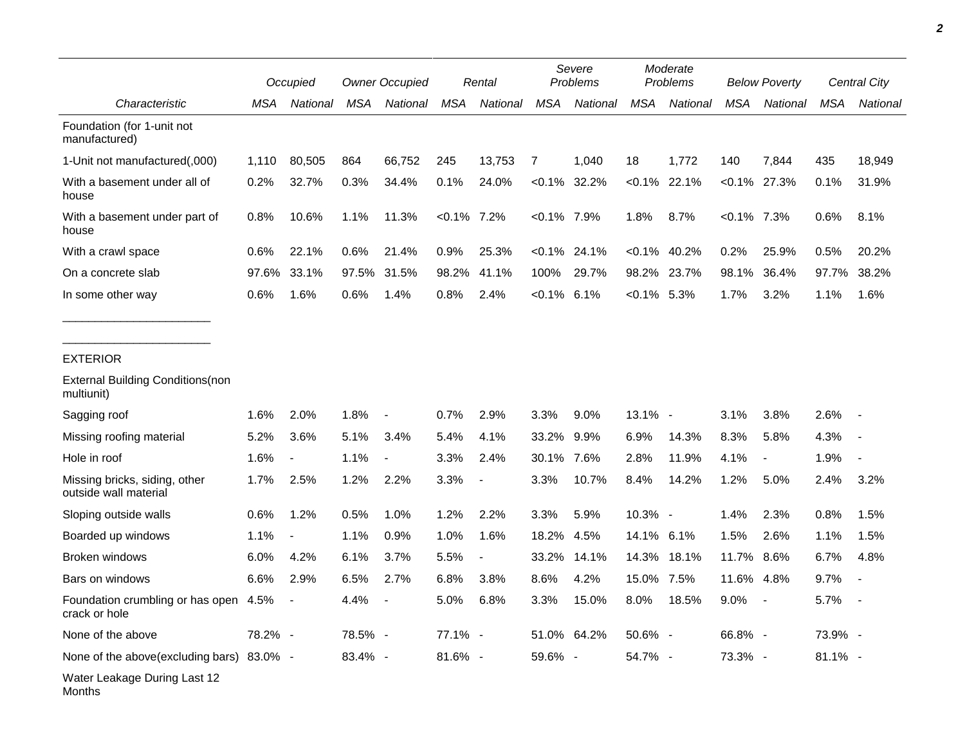|                                                        |         | Occupied       |            | <b>Owner Occupied</b> |                | Rental                   |                | Severe<br>Problems |                | Moderate<br>Problems |                | <b>Below Poverty</b>     |            | Central City |  |
|--------------------------------------------------------|---------|----------------|------------|-----------------------|----------------|--------------------------|----------------|--------------------|----------------|----------------------|----------------|--------------------------|------------|--------------|--|
| Characteristic                                         | MSA     | National       | <b>MSA</b> | National              | <b>MSA</b>     | National                 | <b>MSA</b>     | National           | <b>MSA</b>     | National             | <b>MSA</b>     | National                 | <b>MSA</b> | National     |  |
| Foundation (for 1-unit not<br>manufactured)            |         |                |            |                       |                |                          |                |                    |                |                      |                |                          |            |              |  |
| 1-Unit not manufactured(,000)                          | 1,110   | 80,505         | 864        | 66,752                | 245            | 13,753                   | 7              | 1,040              | 18             | 1,772                | 140            | 7,844                    | 435        | 18,949       |  |
| With a basement under all of<br>house                  | 0.2%    | 32.7%          | 0.3%       | 34.4%                 | 0.1%           | 24.0%                    |                | $< 0.1\%$ 32.2%    |                | $< 0.1\%$ 22.1%      |                | $< 0.1\%$ 27.3%          | 0.1%       | 31.9%        |  |
| With a basement under part of<br>house                 | 0.8%    | 10.6%          | 1.1%       | 11.3%                 | $< 0.1\%$ 7.2% |                          | $< 0.1\%$ 7.9% |                    | 1.8%           | 8.7%                 | $< 0.1\%$ 7.3% |                          | 0.6%       | 8.1%         |  |
| With a crawl space                                     | 0.6%    | 22.1%          | 0.6%       | 21.4%                 | 0.9%           | 25.3%                    | $< 0.1\%$      | 24.1%              | $< 0.1\%$      | 40.2%                | 0.2%           | 25.9%                    | 0.5%       | 20.2%        |  |
| On a concrete slab                                     | 97.6%   | 33.1%          | 97.5%      | 31.5%                 | 98.2%          | 41.1%                    | 100%           | 29.7%              | 98.2%          | 23.7%                | 98.1%          | 36.4%                    | 97.7%      | 38.2%        |  |
| In some other way                                      | 0.6%    | 1.6%           | 0.6%       | 1.4%                  | 0.8%           | 2.4%                     | $< 0.1\%$ 6.1% |                    | $< 0.1\%$ 5.3% |                      | 1.7%           | 3.2%                     | 1.1%       | 1.6%         |  |
| <b>EXTERIOR</b>                                        |         |                |            |                       |                |                          |                |                    |                |                      |                |                          |            |              |  |
| <b>External Building Conditions (non</b><br>multiunit) |         |                |            |                       |                |                          |                |                    |                |                      |                |                          |            |              |  |
| Sagging roof                                           | 1.6%    | 2.0%           | 1.8%       |                       | 0.7%           | 2.9%                     | 3.3%           | 9.0%               | 13.1% -        |                      | 3.1%           | 3.8%                     | 2.6%       |              |  |
| Missing roofing material                               | 5.2%    | 3.6%           | 5.1%       | 3.4%                  | 5.4%           | 4.1%                     | 33.2%          | 9.9%               | 6.9%           | 14.3%                | 8.3%           | 5.8%                     | 4.3%       |              |  |
| Hole in roof                                           | 1.6%    | $\blacksquare$ | 1.1%       |                       | 3.3%           | 2.4%                     | 30.1%          | 7.6%               | 2.8%           | 11.9%                | 4.1%           | $\overline{\phantom{a}}$ | 1.9%       |              |  |
| Missing bricks, siding, other<br>outside wall material | 1.7%    | 2.5%           | 1.2%       | 2.2%                  | 3.3%           | $\blacksquare$           | 3.3%           | 10.7%              | 8.4%           | 14.2%                | 1.2%           | 5.0%                     | 2.4%       | 3.2%         |  |
| Sloping outside walls                                  | 0.6%    | 1.2%           | 0.5%       | 1.0%                  | 1.2%           | 2.2%                     | 3.3%           | 5.9%               | 10.3% -        |                      | 1.4%           | 2.3%                     | 0.8%       | 1.5%         |  |
| Boarded up windows                                     | 1.1%    |                | 1.1%       | 0.9%                  | 1.0%           | 1.6%                     | 18.2%          | 4.5%               | 14.1%          | 6.1%                 | 1.5%           | 2.6%                     | 1.1%       | 1.5%         |  |
| Broken windows                                         | 6.0%    | 4.2%           | 6.1%       | 3.7%                  | 5.5%           | $\overline{\phantom{a}}$ | 33.2%          | 14.1%              | 14.3%          | 18.1%                | 11.7%          | 8.6%                     | 6.7%       | 4.8%         |  |
| Bars on windows                                        | 6.6%    | 2.9%           | 6.5%       | 2.7%                  | 6.8%           | 3.8%                     | 8.6%           | 4.2%               | 15.0%          | 7.5%                 | 11.6%          | 4.8%                     | 9.7%       |              |  |
| Foundation crumbling or has open 4.5%<br>crack or hole |         |                | 4.4%       |                       | 5.0%           | 6.8%                     | 3.3%           | 15.0%              | 8.0%           | 18.5%                | $9.0\%$        | $\sim$                   | 5.7%       |              |  |
| None of the above                                      | 78.2% - |                | 78.5% -    |                       | 77.1% -        |                          |                | 51.0% 64.2%        | 50.6% -        |                      | 66.8% -        |                          | 73.9% -    |              |  |
| None of the above(excluding bars) 83.0% -              |         |                | 83.4% -    |                       | 81.6% -        |                          | 59.6% -        |                    | 54.7% -        |                      | 73.3% -        |                          | 81.1% -    |              |  |
| Water Leakage During Last 12<br>Months                 |         |                |            |                       |                |                          |                |                    |                |                      |                |                          |            |              |  |

*2*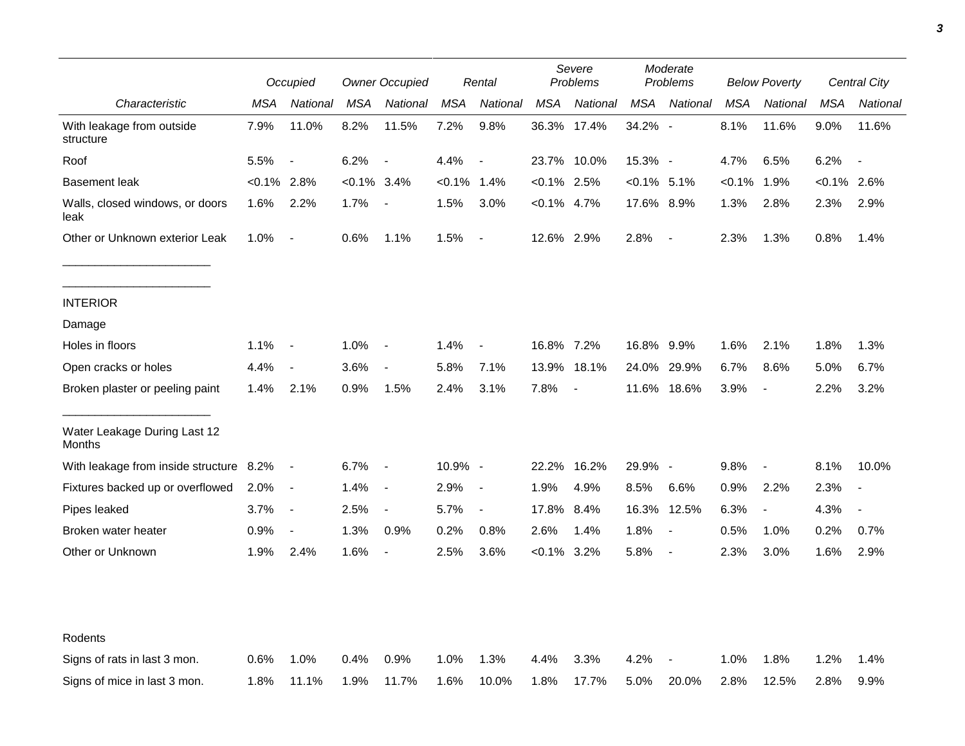|                                         | Occupied       |                          | <b>Owner Occupied</b> |                          | Rental         |                          | Severe<br>Problems |                | Moderate<br>Problems |                          | <b>Below Poverty</b> |                          | Central City |                          |
|-----------------------------------------|----------------|--------------------------|-----------------------|--------------------------|----------------|--------------------------|--------------------|----------------|----------------------|--------------------------|----------------------|--------------------------|--------------|--------------------------|
| Characteristic                          | MSA            | National                 | MSA                   | National                 | MSA            | National                 | MSA                | National       | <b>MSA</b>           | National                 | MSA                  | National                 | <b>MSA</b>   | National                 |
| With leakage from outside<br>structure  | 7.9%           | 11.0%                    | 8.2%                  | 11.5%                    | 7.2%           | 9.8%                     |                    | 36.3% 17.4%    | 34.2% -              |                          | 8.1%                 | 11.6%                    | 9.0%         | 11.6%                    |
| Roof                                    | 5.5%           | $\overline{\phantom{a}}$ | 6.2%                  | $\overline{\phantom{a}}$ | 4.4%           | $\overline{\phantom{a}}$ |                    | 23.7% 10.0%    | 15.3% -              |                          | 4.7%                 | 6.5%                     | 6.2%         | $\blacksquare$           |
| <b>Basement leak</b>                    | $< 0.1\%$ 2.8% |                          | <0.1%                 | $3.4\%$                  | $< 0.1\%$ 1.4% |                          | $< 0.1\%$ 2.5%     |                | $< 0.1\%$ 5.1%       |                          | $< 0.1\%$            | 1.9%                     | $< 0.1\%$    | 2.6%                     |
| Walls, closed windows, or doors<br>leak | 1.6%           | 2.2%                     | 1.7%                  | $\overline{\phantom{a}}$ | 1.5%           | 3.0%                     | $< 0.1\%$ 4.7%     |                | 17.6% 8.9%           |                          | 1.3%                 | 2.8%                     | 2.3%         | 2.9%                     |
| Other or Unknown exterior Leak          | 1.0%           | $\blacksquare$           | 0.6%                  | 1.1%                     | 1.5%           | $\blacksquare$           | 12.6% 2.9%         |                | 2.8%                 | $\overline{\phantom{a}}$ | 2.3%                 | 1.3%                     | 0.8%         | 1.4%                     |
| <b>INTERIOR</b>                         |                |                          |                       |                          |                |                          |                    |                |                      |                          |                      |                          |              |                          |
| Damage                                  |                |                          |                       |                          |                |                          |                    |                |                      |                          |                      |                          |              |                          |
| Holes in floors                         | 1.1%           | $\blacksquare$           | 1.0%                  | $\overline{\phantom{a}}$ | 1.4%           | $\overline{\phantom{a}}$ | 16.8% 7.2%         |                | 16.8% 9.9%           |                          | 1.6%                 | 2.1%                     | 1.8%         | 1.3%                     |
| Open cracks or holes                    | 4.4%           | $\overline{\phantom{a}}$ | 3.6%                  | $\blacksquare$           | 5.8%           | 7.1%                     | 13.9%              | 18.1%          | 24.0%                | 29.9%                    | 6.7%                 | 8.6%                     | 5.0%         | 6.7%                     |
| Broken plaster or peeling paint         | 1.4%           | 2.1%                     | 0.9%                  | 1.5%                     | 2.4%           | 3.1%                     | 7.8%               | $\blacksquare$ |                      | 11.6% 18.6%              | 3.9%                 | $\overline{\phantom{a}}$ | 2.2%         | 3.2%                     |
| Water Leakage During Last 12<br>Months  |                |                          |                       |                          |                |                          |                    |                |                      |                          |                      |                          |              |                          |
| With leakage from inside structure 8.2% |                | $\sim$                   | 6.7%                  | $\overline{\phantom{a}}$ | 10.9% -        |                          | 22.2%              | 16.2%          | 29.9% -              |                          | 9.8%                 | $\overline{\phantom{a}}$ | 8.1%         | 10.0%                    |
| Fixtures backed up or overflowed        | 2.0%           | $\blacksquare$           | 1.4%                  | $\overline{\phantom{a}}$ | 2.9%           | $\overline{\phantom{a}}$ | 1.9%               | 4.9%           | 8.5%                 | 6.6%                     | 0.9%                 | 2.2%                     | 2.3%         | $\overline{\phantom{a}}$ |
| Pipes leaked                            | 3.7%           | $\blacksquare$           | 2.5%                  | $\overline{\phantom{a}}$ | 5.7%           | $\overline{\phantom{a}}$ | 17.8%              | 8.4%           | 16.3%                | 12.5%                    | 6.3%                 | $\overline{\phantom{a}}$ | 4.3%         | $\overline{\phantom{a}}$ |
| Broken water heater                     | 0.9%           | $\overline{\phantom{a}}$ | 1.3%                  | 0.9%                     | 0.2%           | 0.8%                     | 2.6%               | 1.4%           | 1.8%                 | $\blacksquare$           | 0.5%                 | 1.0%                     | 0.2%         | 0.7%                     |
| Other or Unknown                        | 1.9%           | 2.4%                     | 1.6%                  | $\overline{\phantom{a}}$ | 2.5%           | 3.6%                     | $<0.1\%$ 3.2%      |                | 5.8%                 | $\overline{\phantom{a}}$ | 2.3%                 | 3.0%                     | 1.6%         | 2.9%                     |
| Rodents                                 |                |                          |                       |                          |                |                          |                    |                |                      |                          |                      |                          |              |                          |
| Signs of rats in last 3 mon.            | 0.6%           | 1.0%                     | 0.4%                  | 0.9%                     | 1.0%           | 1.3%                     | 4.4%               | 3.3%           | 4.2%                 |                          | 1.0%                 | 1.8%                     | 1.2%         | 1.4%                     |
| Signs of mice in last 3 mon.            | 1.8%           | 11.1%                    | 1.9%                  | 11.7%                    | 1.6%           | 10.0%                    | 1.8%               | 17.7%          | 5.0%                 | 20.0%                    | 2.8%                 | 12.5%                    | 2.8%         | 9.9%                     |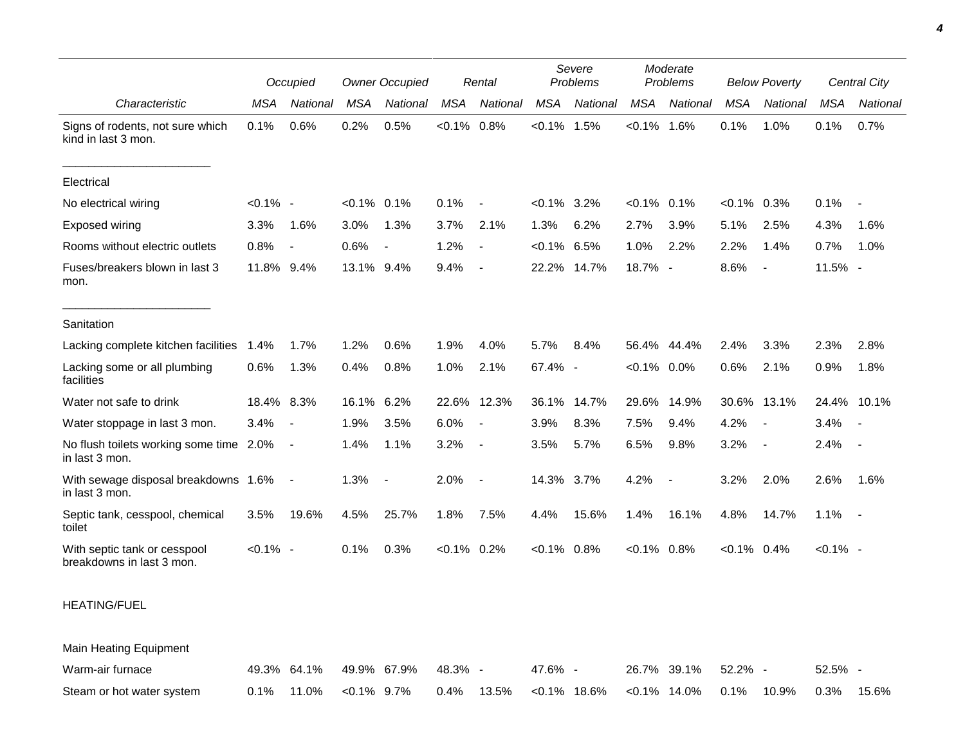|                                                           |             | Occupied                 |                | <b>Owner Occupied</b>    |                | Rental                   |                | Severe<br>Problems | Moderate<br>Problems |                          | <b>Below Poverty</b> |                          | Central City |             |
|-----------------------------------------------------------|-------------|--------------------------|----------------|--------------------------|----------------|--------------------------|----------------|--------------------|----------------------|--------------------------|----------------------|--------------------------|--------------|-------------|
| Characteristic                                            | <b>MSA</b>  | National                 | <b>MSA</b>     | National                 | <b>MSA</b>     | National                 | <b>MSA</b>     | National           | <b>MSA</b>           | National                 | <b>MSA</b>           | <b>National</b>          | <b>MSA</b>   | National    |
| Signs of rodents, not sure which<br>kind in last 3 mon.   | 0.1%        | 0.6%                     | 0.2%           | 0.5%                     | $< 0.1\%$ 0.8% |                          | $< 0.1\%$      | 1.5%               | $< 0.1\%$            | 1.6%                     | 0.1%                 | 1.0%                     | 0.1%         | 0.7%        |
| Electrical                                                |             |                          |                |                          |                |                          |                |                    |                      |                          |                      |                          |              |             |
| No electrical wiring                                      | $< 0.1\%$ - |                          | $< 0.1\%$ 0.1% |                          | 0.1%           | Ĭ.                       | $< 0.1\%$      | 3.2%               | $< 0.1\%$            | 0.1%                     | $< 0.1\%$ 0.3%       |                          | 0.1%         |             |
| Exposed wiring                                            | 3.3%        | 1.6%                     | 3.0%           | 1.3%                     | 3.7%           | 2.1%                     | 1.3%           | 6.2%               | 2.7%                 | 3.9%                     | 5.1%                 | 2.5%                     | 4.3%         | 1.6%        |
| Rooms without electric outlets                            | 0.8%        | $\overline{\phantom{a}}$ | 0.6%           | $\overline{\phantom{a}}$ | 1.2%           | $\overline{\phantom{a}}$ | $< 0.1\%$ 6.5% |                    | 1.0%                 | 2.2%                     | 2.2%                 | 1.4%                     | 0.7%         | 1.0%        |
| Fuses/breakers blown in last 3<br>mon.                    | 11.8%       | 9.4%                     | 13.1% 9.4%     |                          | 9.4%           |                          | 22.2%          | 14.7%              | 18.7% -              |                          | 8.6%                 | $\overline{\phantom{a}}$ | 11.5% -      |             |
| Sanitation                                                |             |                          |                |                          |                |                          |                |                    |                      |                          |                      |                          |              |             |
| Lacking complete kitchen facilities                       | 1.4%        | 1.7%                     | 1.2%           | 0.6%                     | 1.9%           | 4.0%                     | 5.7%           | 8.4%               | 56.4%                | 44.4%                    | 2.4%                 | 3.3%                     | 2.3%         | 2.8%        |
| Lacking some or all plumbing<br>facilities                | 0.6%        | 1.3%                     | 0.4%           | 0.8%                     | 1.0%           | 2.1%                     | 67.4% -        |                    | $< 0.1\%$ 0.0%       |                          | 0.6%                 | 2.1%                     | 0.9%         | 1.8%        |
| Water not safe to drink                                   | 18.4% 8.3%  |                          | 16.1% 6.2%     |                          |                | 22.6% 12.3%              | 36.1%          | 14.7%              | 29.6%                | 14.9%                    | 30.6%                | 13.1%                    |              | 24.4% 10.1% |
| Water stoppage in last 3 mon.                             | 3.4%        | $\overline{\phantom{a}}$ | 1.9%           | 3.5%                     | 6.0%           | $\overline{\phantom{a}}$ | 3.9%           | 8.3%               | 7.5%                 | 9.4%                     | 4.2%                 | $\overline{\phantom{a}}$ | 3.4%         | $\sim$      |
| No flush toilets working some time 2.0%<br>in last 3 mon. |             | $\overline{\phantom{a}}$ | 1.4%           | 1.1%                     | 3.2%           | $\overline{\phantom{a}}$ | 3.5%           | 5.7%               | 6.5%                 | 9.8%                     | 3.2%                 | $\overline{\phantom{a}}$ | 2.4%         | $\sim$      |
| With sewage disposal breakdowns 1.6%<br>in last 3 mon.    |             | $\blacksquare$           | 1.3%           | $\overline{\phantom{a}}$ | 2.0%           | $\overline{\phantom{a}}$ | 14.3% 3.7%     |                    | 4.2%                 | $\overline{\phantom{a}}$ | 3.2%                 | 2.0%                     | 2.6%         | 1.6%        |
| Septic tank, cesspool, chemical<br>toilet                 | 3.5%        | 19.6%                    | 4.5%           | 25.7%                    | 1.8%           | 7.5%                     | 4.4%           | 15.6%              | 1.4%                 | 16.1%                    | 4.8%                 | 14.7%                    | 1.1%         | $\sim$ $-$  |
| With septic tank or cesspool<br>breakdowns in last 3 mon. | $< 0.1\%$ - |                          | 0.1%           | 0.3%                     | $< 0.1\%$ 0.2% |                          | $< 0.1\%$ 0.8% |                    | $< 0.1\%$ 0.8%       |                          | $< 0.1\%$ 0.4%       |                          | $< 0.1\%$ -  |             |

## HEATING/FUEL

Main Heating Equipment Warm-air furnace a a 49.3% 64.1% 49.9% 67.9% 48.3% - 47.6% - 26.7% 39.1% 52.2% - 52.5% -Steam or hot water system 0.1% 11.0% <0.1% 9.7% 0.4% 13.5% <0.1% 18.6% <0.1% 14.0% 0.1% 10.9% 0.3% 15.6%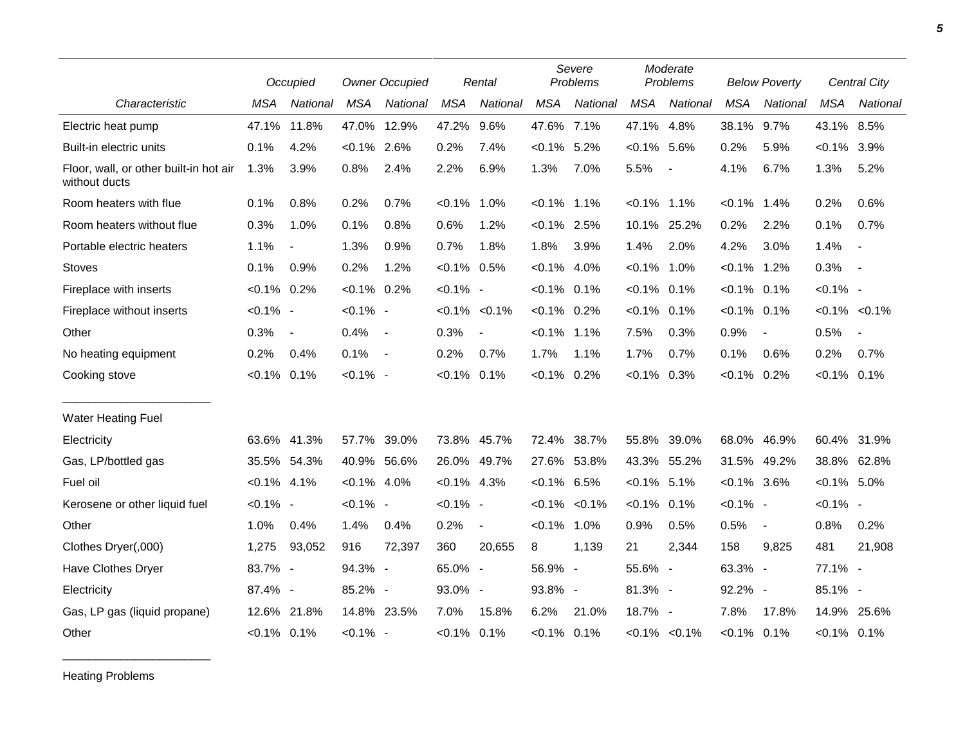|                                                         |                | Occupied       | <b>Owner Occupied</b> |             | Rental         |                          | Severe<br>Problems |                   | Moderate<br>Problems |                          | <b>Below Poverty</b> |                          | <b>Central City</b> |                          |
|---------------------------------------------------------|----------------|----------------|-----------------------|-------------|----------------|--------------------------|--------------------|-------------------|----------------------|--------------------------|----------------------|--------------------------|---------------------|--------------------------|
| Characteristic                                          | <b>MSA</b>     | National       | <b>MSA</b>            | National    | <b>MSA</b>     | National                 | <b>MSA</b>         | National          | <b>MSA</b>           | National                 | <b>MSA</b>           | National                 | <b>MSA</b>          | National                 |
| Electric heat pump                                      | 47.1%          | 11.8%          | 47.0%                 | 12.9%       | 47.2%          | 9.6%                     | 47.6% 7.1%         |                   | 47.1%                | 4.8%                     | 38.1%                | 9.7%                     | 43.1% 8.5%          |                          |
| Built-in electric units                                 | 0.1%           | 4.2%           | $< 0.1\%$ 2.6%        |             | 0.2%           | 7.4%                     | $< 0.1\%$ 5.2%     |                   | $< 0.1\%$            | 5.6%                     | 0.2%                 | 5.9%                     | $< 0.1\%$ 3.9%      |                          |
| Floor, wall, or other built-in hot air<br>without ducts | 1.3%           | 3.9%           | 0.8%                  | 2.4%        | 2.2%           | 6.9%                     | 1.3%               | 7.0%              | 5.5%                 | $\overline{\phantom{a}}$ | 4.1%                 | 6.7%                     | 1.3%                | 5.2%                     |
| Room heaters with flue                                  | 0.1%           | 0.8%           | 0.2%                  | 0.7%        | $< 0.1\%$ 1.0% |                          | $< 0.1\%$ 1.1%     |                   | $< 0.1\%$            | 1.1%                     | $< 0.1\%$            | 1.4%                     | 0.2%                | 0.6%                     |
| Room heaters without flue                               | 0.3%           | 1.0%           | 0.1%                  | 0.8%        | 0.6%           | 1.2%                     | $< 0.1\%$ 2.5%     |                   |                      | 10.1% 25.2%              | 0.2%                 | 2.2%                     | 0.1%                | 0.7%                     |
| Portable electric heaters                               | 1.1%           | $\blacksquare$ | 1.3%                  | 0.9%        | 0.7%           | 1.8%                     | 1.8%               | 3.9%              | 1.4%                 | 2.0%                     | 4.2%                 | 3.0%                     | 1.4%                | $\blacksquare$           |
| <b>Stoves</b>                                           | 0.1%           | 0.9%           | 0.2%                  | 1.2%        | $< 0.1\%$ 0.5% |                          | $< 0.1\%$ 4.0%     |                   | $< 0.1\%$            | 1.0%                     | $< 0.1\%$            | 1.2%                     | 0.3%                | $\sim$ $-$               |
| Fireplace with inserts                                  | $< 0.1\%$ 0.2% |                | $< 0.1\%$ 0.2%        |             | $< 0.1\%$ -    |                          | $< 0.1\%$ 0.1%     |                   | $< 0.1\%$            | 0.1%                     | $< 0.1\%$ 0.1%       |                          | $< 0.1\%$ -         |                          |
| Fireplace without inserts                               | $< 0.1\%$ -    |                | $< 0.1\%$ -           |             |                | $< 0.1\% < 0.1\%$        | $< 0.1\%$ 0.2%     |                   | $< 0.1\%$            | 0.1%                     | $< 0.1\%$            | 0.1%                     |                     | $< 0.1\%$ $< 0.1\%$      |
| Other                                                   | 0.3%           | $\blacksquare$ | 0.4%                  | $\sim$      | 0.3%           |                          | $< 0.1\%$ 1.1%     |                   | 7.5%                 | 0.3%                     | 0.9%                 | $\overline{\phantom{a}}$ | 0.5%                | $\overline{\phantom{a}}$ |
| No heating equipment                                    | 0.2%           | 0.4%           | 0.1%                  | $\sim$      | 0.2%           | 0.7%                     | 1.7%               | 1.1%              | 1.7%                 | 0.7%                     | 0.1%                 | 0.6%                     | 0.2%                | 0.7%                     |
| Cooking stove                                           | $< 0.1\%$ 0.1% |                | $< 0.1\%$ -           |             | $< 0.1\%$ 0.1% |                          | $< 0.1\%$ 0.2%     |                   | $< 0.1\%$            | 0.3%                     | $< 0.1\%$ 0.2%       |                          | $< 0.1\%$ 0.1%      |                          |
| <b>Water Heating Fuel</b>                               |                |                |                       |             |                |                          |                    |                   |                      |                          |                      |                          |                     |                          |
| Electricity                                             |                | 63.6% 41.3%    | 57.7%                 | 39.0%       |                | 73.8% 45.7%              |                    | 72.4% 38.7%       | 55.8%                | 39.0%                    | 68.0%                | 46.9%                    |                     | 60.4% 31.9%              |
| Gas, LP/bottled gas                                     |                | 35.5% 54.3%    | 40.9% 56.6%           |             |                | 26.0% 49.7%              |                    | 27.6% 53.8%       |                      | 43.3% 55.2%              | 31.5%                | 49.2%                    |                     | 38.8% 62.8%              |
| Fuel oil                                                | $< 0.1\%$ 4.1% |                | $< 0.1\%$ 4.0%        |             | $< 0.1\%$ 4.3% |                          | $< 0.1\%$ 6.5%     |                   | $< 0.1\%$ 5.1%       |                          | $< 0.1\%$ 3.6%       |                          | $< 0.1\%$ 5.0%      |                          |
| Kerosene or other liquid fuel                           | $< 0.1\%$ -    |                | $< 0.1\%$ -           |             | $< 0.1\%$ -    |                          |                    | $< 0.1\% < 0.1\%$ | $< 0.1\%$            | 0.1%                     | $< 0.1\%$ -          |                          | $< 0.1\%$ -         |                          |
| Other                                                   | 1.0%           | 0.4%           | 1.4%                  | 0.4%        | 0.2%           | $\overline{\phantom{a}}$ | $< 0.1\%$          | 1.0%              | 0.9%                 | 0.5%                     | 0.5%                 | $\blacksquare$           | 0.8%                | 0.2%                     |
| Clothes Dryer(,000)                                     | 1,275          | 93,052         | 916                   | 72,397      | 360            | 20,655                   | 8                  | 1,139             | 21                   | 2,344                    | 158                  | 9,825                    | 481                 | 21,908                   |
| Have Clothes Dryer                                      | 83.7% -        |                | 94.3% -               |             | 65.0% -        |                          | 56.9% -            |                   | 55.6% -              |                          | 63.3% -              |                          | 77.1% -             |                          |
| Electricity                                             | 87.4% -        |                | 85.2% -               |             | 93.0% -        |                          | 93.8% -            |                   | 81.3% -              |                          | 92.2% -              |                          | 85.1% -             |                          |
| Gas, LP gas (liquid propane)                            |                | 12.6% 21.8%    |                       | 14.8% 23.5% | 7.0%           | 15.8%                    | 6.2%               | 21.0%             | 18.7% -              |                          | 7.8%                 | 17.8%                    | 14.9%               | 25.6%                    |
| Other                                                   | $< 0.1\%$ 0.1% |                | $< 0.1\%$ -           |             | $< 0.1\%$ 0.1% |                          | $< 0.1\%$ 0.1%     |                   |                      | $< 0.1\%$ $< 0.1\%$      | $< 0.1\%$ 0.1%       |                          | $< 0.1\%$ 0.1%      |                          |

Heating Problems

\_\_\_\_\_\_\_\_\_\_\_\_\_\_\_\_\_\_\_\_\_\_\_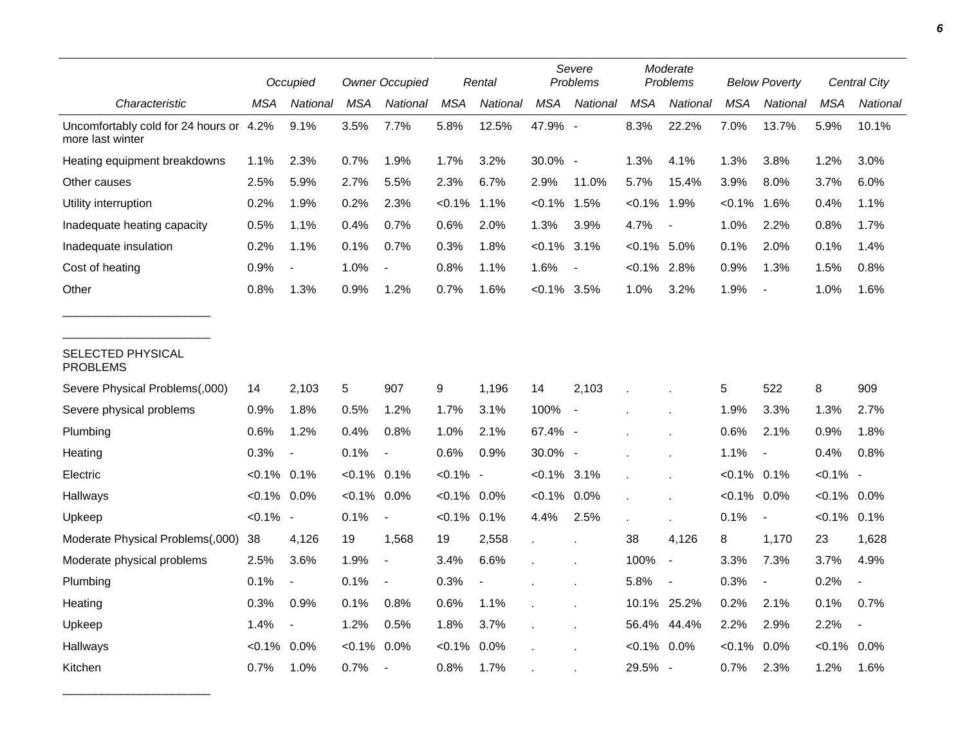|                                                             |                | Occupied                 |                | <b>Owner Occupied</b>    |             | Rental                   |                | Severe<br>Problems       |                | Moderate<br>Problems     |                | <b>Below Poverty</b>     |                | Central City             |  |
|-------------------------------------------------------------|----------------|--------------------------|----------------|--------------------------|-------------|--------------------------|----------------|--------------------------|----------------|--------------------------|----------------|--------------------------|----------------|--------------------------|--|
| Characteristic                                              | MSA            | National                 | <b>MSA</b>     | National                 | <b>MSA</b>  | National                 | <b>MSA</b>     | National                 | <b>MSA</b>     | <b>National</b>          | <b>MSA</b>     | <b>National</b>          | <b>MSA</b>     | National                 |  |
| Uncomfortably cold for 24 hours or 4.2%<br>more last winter |                | 9.1%                     | 3.5%           | 7.7%                     | 5.8%        | 12.5%                    | 47.9% -        |                          | 8.3%           | 22.2%                    | 7.0%           | 13.7%                    | 5.9%           | 10.1%                    |  |
| Heating equipment breakdowns                                | 1.1%           | 2.3%                     | 0.7%           | 1.9%                     | 1.7%        | 3.2%                     | 30.0% -        |                          | 1.3%           | 4.1%                     | 1.3%           | 3.8%                     | 1.2%           | 3.0%                     |  |
| Other causes                                                | 2.5%           | 5.9%                     | 2.7%           | 5.5%                     | 2.3%        | 6.7%                     | 2.9%           | 11.0%                    | 5.7%           | 15.4%                    | 3.9%           | 8.0%                     | 3.7%           | 6.0%                     |  |
| Utility interruption                                        | 0.2%           | 1.9%                     | 0.2%           | 2.3%                     | $< 0.1\%$   | 1.1%                     | $< 0.1\%$      | 1.5%                     | $< 0.1\%$      | 1.9%                     | $< 0.1\%$      | 1.6%                     | 0.4%           | 1.1%                     |  |
| Inadequate heating capacity                                 | 0.5%           | 1.1%                     | 0.4%           | 0.7%                     | 0.6%        | 2.0%                     | 1.3%           | 3.9%                     | 4.7%           | $\overline{\phantom{a}}$ | 1.0%           | 2.2%                     | 0.8%           | 1.7%                     |  |
| Inadequate insulation                                       | 0.2%           | 1.1%                     | 0.1%           | 0.7%                     | 0.3%        | 1.8%                     | $< 0.1\%$      | 3.1%                     | $< 0.1\%$      | 5.0%                     | 0.1%           | 2.0%                     | 0.1%           | 1.4%                     |  |
| Cost of heating                                             | 0.9%           |                          | 1.0%           |                          | 0.8%        | 1.1%                     | 1.6%           |                          | $< 0.1\%$ 2.8% |                          | 0.9%           | 1.3%                     | 1.5%           | 0.8%                     |  |
| Other                                                       | 0.8%           | 1.3%                     | 0.9%           | 1.2%                     | 0.7%        | 1.6%                     | $< 0.1\%$ 3.5% |                          | 1.0%           | 3.2%                     | 1.9%           | $\overline{\phantom{a}}$ | 1.0%           | 1.6%                     |  |
| SELECTED PHYSICAL<br><b>PROBLEMS</b>                        |                |                          |                |                          |             |                          |                |                          |                |                          |                |                          |                |                          |  |
| Severe Physical Problems(,000)                              | 14             | 2,103                    | 5              | 907                      | 9           | 1,196                    | 14             | 2,103                    |                |                          | 5              | 522                      | 8              | 909                      |  |
| Severe physical problems                                    | 0.9%           | 1.8%                     | 0.5%           | 1.2%                     | 1.7%        | 3.1%                     | 100%           | $\overline{\phantom{a}}$ |                |                          | 1.9%           | 3.3%                     | 1.3%           | 2.7%                     |  |
| Plumbing                                                    | 0.6%           | 1.2%                     | 0.4%           | 0.8%                     | 1.0%        | 2.1%                     | 67.4% -        |                          |                |                          | 0.6%           | 2.1%                     | 0.9%           | 1.8%                     |  |
| Heating                                                     | 0.3%           | $\blacksquare$           | 0.1%           |                          | 0.6%        | 0.9%                     | 30.0% -        |                          |                |                          | 1.1%           | $\overline{\phantom{a}}$ | 0.4%           | 0.8%                     |  |
| Electric                                                    | $< 0.1\%$ 0.1% |                          | $< 0.1\%$ 0.1% |                          | $< 0.1\%$ - |                          | $< 0.1\%$ 3.1% |                          |                |                          | $< 0.1\%$ 0.1% |                          | $< 0.1\%$ -    |                          |  |
| Hallways                                                    | $< 0.1\%$ 0.0% |                          | $< 0.1\%$      | 0.0%                     | $< 0.1\%$   | 0.0%                     | $< 0.1\%$ 0.0% |                          |                |                          | $< 0.1\%$ 0.0% |                          | $< 0.1\%$ 0.0% |                          |  |
| Upkeep                                                      | $< 0.1\%$ -    |                          | 0.1%           | $\overline{\phantom{a}}$ | $< 0.1\%$   | 0.1%                     | 4.4%           | 2.5%                     |                |                          | 0.1%           | $\blacksquare$           | $< 0.1\%$ 0.1% |                          |  |
| Moderate Physical Problems(,000)                            | 38             | 4,126                    | 19             | 1,568                    | 19          | 2,558                    | $\mathbf{r}$   |                          | 38             | 4,126                    | 8              | 1,170                    | 23             | 1,628                    |  |
| Moderate physical problems                                  | 2.5%           | 3.6%                     | 1.9%           | $\overline{a}$           | 3.4%        | 6.6%                     |                |                          | 100%           | $\blacksquare$           | 3.3%           | 7.3%                     | 3.7%           | 4.9%                     |  |
| Plumbing                                                    | 0.1%           | $\overline{\phantom{a}}$ | 0.1%           | $\frac{1}{2}$            | 0.3%        | $\overline{\phantom{a}}$ |                |                          | 5.8%           | $\overline{a}$           | 0.3%           | $\overline{\phantom{a}}$ | 0.2%           |                          |  |
| Heating                                                     | 0.3%           | 0.9%                     | 0.1%           | 0.8%                     | 0.6%        | 1.1%                     |                |                          |                | 10.1% 25.2%              | 0.2%           | 2.1%                     | 0.1%           | 0.7%                     |  |
| Upkeep                                                      | 1.4%           | $\overline{\phantom{a}}$ | 1.2%           | 0.5%                     | 1.8%        | 3.7%                     |                |                          | 56.4%          | 44.4%                    | 2.2%           | 2.9%                     | 2.2%           | $\overline{\phantom{a}}$ |  |
| Hallways                                                    | $< 0.1\%$      | 0.0%                     | $< 0.1\%$      | 0.0%                     | $< 0.1\%$   | 0.0%                     |                |                          | $< 0.1\%$ 0.0% |                          | $< 0.1\%$      | 0.0%                     | $< 0.1\%$      | 0.0%                     |  |
| Kitchen                                                     | 0.7%           | 1.0%                     | 0.7%           |                          | 0.8%        | 1.7%                     |                |                          | 29.5% -        |                          | 0.7%           | 2.3%                     | 1.2%           | 1.6%                     |  |

\_\_\_\_\_\_\_\_\_\_\_\_\_\_\_\_\_\_\_\_\_\_\_